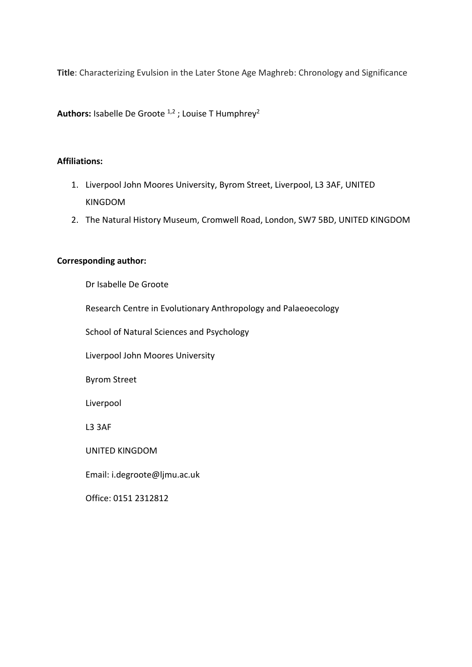**Title**: Characterizing Evulsion in the Later Stone Age Maghreb: Chronology and Significance

Authors: Isabelle De Groote<sup>1,2</sup>; Louise T Humphrey<sup>2</sup>

#### **Affiliations:**

- 1. Liverpool John Moores University, Byrom Street, Liverpool, L3 3AF, UNITED KINGDOM
- 2. The Natural History Museum, Cromwell Road, London, SW7 5BD, UNITED KINGDOM

#### **Corresponding author:**

Dr Isabelle De Groote

Research Centre in Evolutionary Anthropology and Palaeoecology

School of Natural Sciences and Psychology

Liverpool John Moores University

Byrom Street

Liverpool

L3 3AF

UNITED KINGDOM

Email: i.degroote@ljmu.ac.uk

Office: 0151 2312812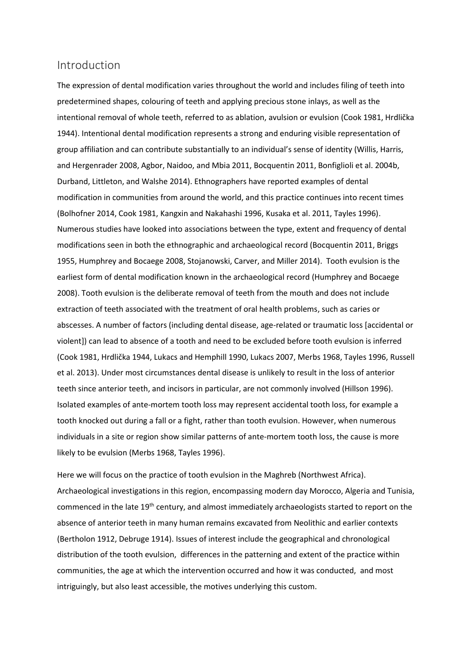### Introduction

The expression of dental modification varies throughout the world and includes filing of teeth into predetermined shapes, colouring of teeth and applying precious stone inlays, as well as the intentional removal of whole teeth, referred to as ablation, avulsion or evulsion (Cook 1981, Hrdlička 1944). Intentional dental modification represents a strong and enduring visible representation of group affiliation and can contribute substantially to an individual's sense of identity (Willis, Harris, and Hergenrader 2008, Agbor, Naidoo, and Mbia 2011, Bocquentin 2011, Bonfiglioli et al. 2004b, Durband, Littleton, and Walshe 2014). Ethnographers have reported examples of dental modification in communities from around the world, and this practice continues into recent times (Bolhofner 2014, Cook 1981, Kangxin and Nakahashi 1996, Kusaka et al. 2011, Tayles 1996). Numerous studies have looked into associations between the type, extent and frequency of dental modifications seen in both the ethnographic and archaeological record (Bocquentin 2011, Briggs 1955, Humphrey and Bocaege 2008, Stojanowski, Carver, and Miller 2014). Tooth evulsion is the earliest form of dental modification known in the archaeological record (Humphrey and Bocaege 2008). Tooth evulsion is the deliberate removal of teeth from the mouth and does not include extraction of teeth associated with the treatment of oral health problems, such as caries or abscesses. A number of factors (including dental disease, age-related or traumatic loss [accidental or violent]) can lead to absence of a tooth and need to be excluded before tooth evulsion is inferred (Cook 1981, Hrdlička 1944, Lukacs and Hemphill 1990, Lukacs 2007, Merbs 1968, Tayles 1996, Russell et al. 2013). Under most circumstances dental disease is unlikely to result in the loss of anterior teeth since anterior teeth, and incisors in particular, are not commonly involved (Hillson 1996). Isolated examples of ante-mortem tooth loss may represent accidental tooth loss, for example a tooth knocked out during a fall or a fight, rather than tooth evulsion. However, when numerous individuals in a site or region show similar patterns of ante-mortem tooth loss, the cause is more likely to be evulsion (Merbs 1968, Tayles 1996).

Here we will focus on the practice of tooth evulsion in the Maghreb (Northwest Africa). Archaeological investigations in this region, encompassing modern day Morocco, Algeria and Tunisia, commenced in the late 19<sup>th</sup> century, and almost immediately archaeologists started to report on the absence of anterior teeth in many human remains excavated from Neolithic and earlier contexts (Bertholon 1912, Debruge 1914). Issues of interest include the geographical and chronological distribution of the tooth evulsion, differences in the patterning and extent of the practice within communities, the age at which the intervention occurred and how it was conducted, and most intriguingly, but also least accessible, the motives underlying this custom.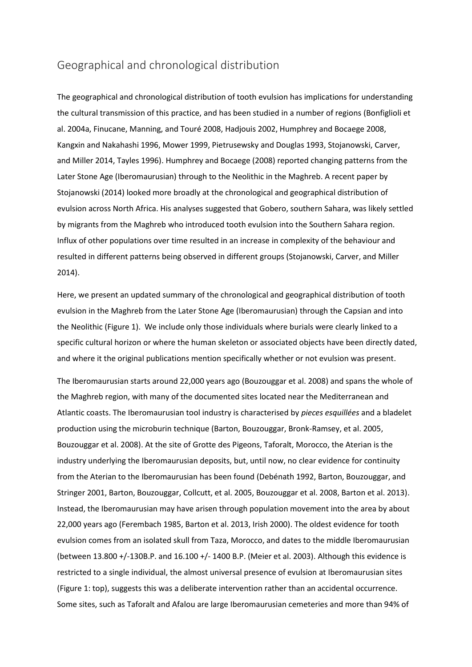## Geographical and chronological distribution

The geographical and chronological distribution of tooth evulsion has implications for understanding the cultural transmission of this practice, and has been studied in a number of regions (Bonfiglioli et al. 2004a, Finucane, Manning, and Touré 2008, Hadjouis 2002, Humphrey and Bocaege 2008, Kangxin and Nakahashi 1996, Mower 1999, Pietrusewsky and Douglas 1993, Stojanowski, Carver, and Miller 2014, Tayles 1996). Humphrey and Bocaege (2008) reported changing patterns from the Later Stone Age (Iberomaurusian) through to the Neolithic in the Maghreb. A recent paper by Stojanowski (2014) looked more broadly at the chronological and geographical distribution of evulsion across North Africa. His analyses suggested that Gobero, southern Sahara, was likely settled by migrants from the Maghreb who introduced tooth evulsion into the Southern Sahara region. Influx of other populations over time resulted in an increase in complexity of the behaviour and resulted in different patterns being observed in different groups (Stojanowski, Carver, and Miller 2014).

Here, we present an updated summary of the chronological and geographical distribution of tooth evulsion in the Maghreb from the Later Stone Age (Iberomaurusian) through the Capsian and into the Neolithic (Figure 1). We include only those individuals where burials were clearly linked to a specific cultural horizon or where the human skeleton or associated objects have been directly dated, and where it the original publications mention specifically whether or not evulsion was present.

The Iberomaurusian starts around 22,000 years ago (Bouzouggar et al. 2008) and spans the whole of the Maghreb region, with many of the documented sites located near the Mediterranean and Atlantic coasts. The Iberomaurusian tool industry is characterised by *pieces esquillées* and a bladelet production using the microburin technique (Barton, Bouzouggar, Bronk-Ramsey, et al. 2005, Bouzouggar et al. 2008). At the site of Grotte des Pigeons, Taforalt, Morocco, the Aterian is the industry underlying the Iberomaurusian deposits, but, until now, no clear evidence for continuity from the Aterian to the Iberomaurusian has been found (Debénath 1992, Barton, Bouzouggar, and Stringer 2001, Barton, Bouzouggar, Collcutt, et al. 2005, Bouzouggar et al. 2008, Barton et al. 2013). Instead, the Iberomaurusian may have arisen through population movement into the area by about 22,000 years ago (Ferembach 1985, Barton et al. 2013, Irish 2000). The oldest evidence for tooth evulsion comes from an isolated skull from Taza, Morocco, and dates to the middle Iberomaurusian (between 13.800 +/-130B.P. and 16.100 +/- 1400 B.P. (Meier et al. 2003). Although this evidence is restricted to a single individual, the almost universal presence of evulsion at Iberomaurusian sites (Figure 1: top), suggests this was a deliberate intervention rather than an accidental occurrence. Some sites, such as Taforalt and Afalou are large Iberomaurusian cemeteries and more than 94% of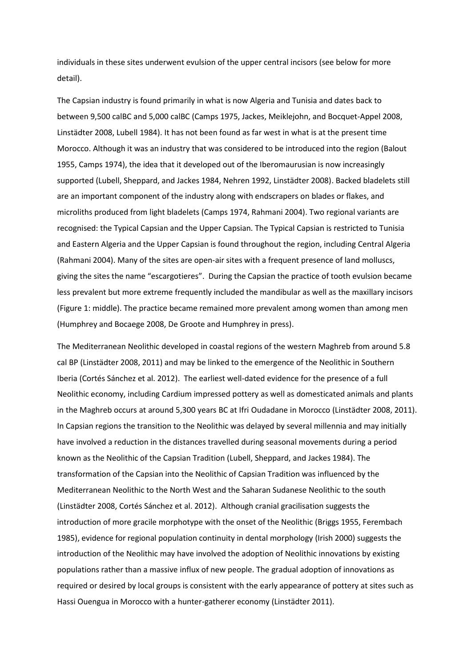individuals in these sites underwent evulsion of the upper central incisors (see below for more detail).

The Capsian industry is found primarily in what is now Algeria and Tunisia and dates back to between 9,500 calBC and 5,000 calBC (Camps 1975, Jackes, Meiklejohn, and Bocquet-Appel 2008, Linstädter 2008, Lubell 1984). It has not been found as far west in what is at the present time Morocco. Although it was an industry that was considered to be introduced into the region (Balout 1955, Camps 1974), the idea that it developed out of the Iberomaurusian is now increasingly supported (Lubell, Sheppard, and Jackes 1984, Nehren 1992, Linstädter 2008). Backed bladelets still are an important component of the industry along with endscrapers on blades or flakes, and microliths produced from light bladelets (Camps 1974, Rahmani 2004). Two regional variants are recognised: the Typical Capsian and the Upper Capsian. The Typical Capsian is restricted to Tunisia and Eastern Algeria and the Upper Capsian is found throughout the region, including Central Algeria (Rahmani 2004). Many of the sites are open-air sites with a frequent presence of land molluscs, giving the sites the name "escargotieres". During the Capsian the practice of tooth evulsion became less prevalent but more extreme frequently included the mandibular as well as the maxillary incisors (Figure 1: middle). The practice became remained more prevalent among women than among men (Humphrey and Bocaege 2008, De Groote and Humphrey in press).

The Mediterranean Neolithic developed in coastal regions of the western Maghreb from around 5.8 cal BP (Linstädter 2008, 2011) and may be linked to the emergence of the Neolithic in Southern Iberia (Cortés Sánchez et al. 2012). The earliest well-dated evidence for the presence of a full Neolithic economy, including Cardium impressed pottery as well as domesticated animals and plants in the Maghreb occurs at around 5,300 years BC at Ifri Oudadane in Morocco (Linstädter 2008, 2011). In Capsian regions the transition to the Neolithic was delayed by several millennia and may initially have involved a reduction in the distances travelled during seasonal movements during a period known as the Neolithic of the Capsian Tradition (Lubell, Sheppard, and Jackes 1984). The transformation of the Capsian into the Neolithic of Capsian Tradition was influenced by the Mediterranean Neolithic to the North West and the Saharan Sudanese Neolithic to the south (Linstädter 2008, Cortés Sánchez et al. 2012). Although cranial gracilisation suggests the introduction of more gracile morphotype with the onset of the Neolithic (Briggs 1955, Ferembach 1985), evidence for regional population continuity in dental morphology (Irish 2000) suggests the introduction of the Neolithic may have involved the adoption of Neolithic innovations by existing populations rather than a massive influx of new people. The gradual adoption of innovations as required or desired by local groups is consistent with the early appearance of pottery at sites such as Hassi Ouengua in Morocco with a hunter-gatherer economy (Linstädter 2011).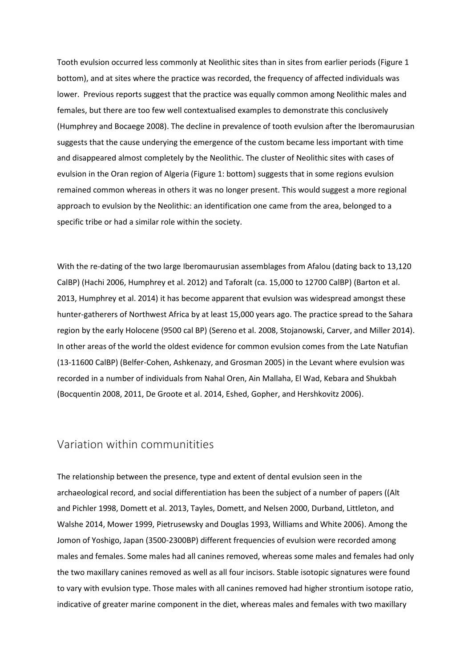Tooth evulsion occurred less commonly at Neolithic sites than in sites from earlier periods (Figure 1 bottom), and at sites where the practice was recorded, the frequency of affected individuals was lower. Previous reports suggest that the practice was equally common among Neolithic males and females, but there are too few well contextualised examples to demonstrate this conclusively (Humphrey and Bocaege 2008). The decline in prevalence of tooth evulsion after the Iberomaurusian suggests that the cause underying the emergence of the custom became less important with time and disappeared almost completely by the Neolithic. The cluster of Neolithic sites with cases of evulsion in the Oran region of Algeria (Figure 1: bottom) suggests that in some regions evulsion remained common whereas in others it was no longer present. This would suggest a more regional approach to evulsion by the Neolithic: an identification one came from the area, belonged to a specific tribe or had a similar role within the society.

With the re-dating of the two large Iberomaurusian assemblages from Afalou (dating back to 13,120 CalBP) (Hachi 2006, Humphrey et al. 2012) and Taforalt (ca. 15,000 to 12700 CalBP) (Barton et al. 2013, Humphrey et al. 2014) it has become apparent that evulsion was widespread amongst these hunter-gatherers of Northwest Africa by at least 15,000 years ago. The practice spread to the Sahara region by the early Holocene (9500 cal BP) (Sereno et al. 2008, Stojanowski, Carver, and Miller 2014). In other areas of the world the oldest evidence for common evulsion comes from the Late Natufian (13-11600 CalBP) (Belfer-Cohen, Ashkenazy, and Grosman 2005) in the Levant where evulsion was recorded in a number of individuals from Nahal Oren, Ain Mallaha, El Wad, Kebara and Shukbah (Bocquentin 2008, 2011, De Groote et al. 2014, Eshed, Gopher, and Hershkovitz 2006).

### Variation within communitities

The relationship between the presence, type and extent of dental evulsion seen in the archaeological record, and social differentiation has been the subject of a number of papers ((Alt and Pichler 1998, Domett et al. 2013, Tayles, Domett, and Nelsen 2000, Durband, Littleton, and Walshe 2014, Mower 1999, Pietrusewsky and Douglas 1993, Williams and White 2006). Among the Jomon of Yoshigo, Japan (3500-2300BP) different frequencies of evulsion were recorded among males and females. Some males had all canines removed, whereas some males and females had only the two maxillary canines removed as well as all four incisors. Stable isotopic signatures were found to vary with evulsion type. Those males with all canines removed had higher strontium isotope ratio, indicative of greater marine component in the diet, whereas males and females with two maxillary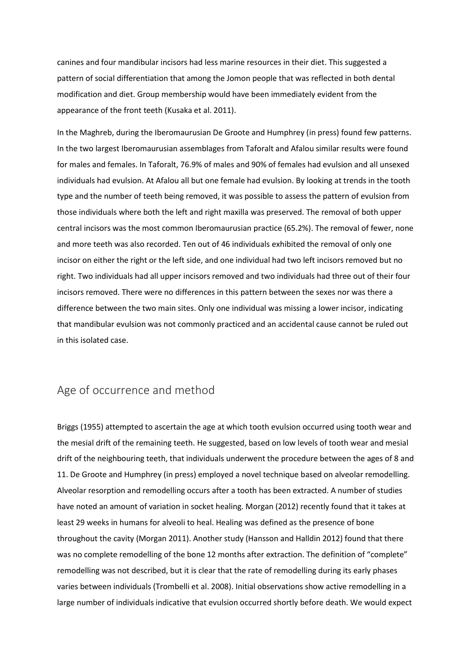canines and four mandibular incisors had less marine resources in their diet. This suggested a pattern of social differentiation that among the Jomon people that was reflected in both dental modification and diet. Group membership would have been immediately evident from the appearance of the front teeth (Kusaka et al. 2011).

In the Maghreb, during the Iberomaurusian De Groote and Humphrey (in press) found few patterns. In the two largest Iberomaurusian assemblages from Taforalt and Afalou similar results were found for males and females. In Taforalt, 76.9% of males and 90% of females had evulsion and all unsexed individuals had evulsion. At Afalou all but one female had evulsion. By looking at trends in the tooth type and the number of teeth being removed, it was possible to assess the pattern of evulsion from those individuals where both the left and right maxilla was preserved. The removal of both upper central incisors was the most common Iberomaurusian practice (65.2%). The removal of fewer, none and more teeth was also recorded. Ten out of 46 individuals exhibited the removal of only one incisor on either the right or the left side, and one individual had two left incisors removed but no right. Two individuals had all upper incisors removed and two individuals had three out of their four incisors removed. There were no differences in this pattern between the sexes nor was there a difference between the two main sites. Only one individual was missing a lower incisor, indicating that mandibular evulsion was not commonly practiced and an accidental cause cannot be ruled out in this isolated case.

### Age of occurrence and method

Briggs (1955) attempted to ascertain the age at which tooth evulsion occurred using tooth wear and the mesial drift of the remaining teeth. He suggested, based on low levels of tooth wear and mesial drift of the neighbouring teeth, that individuals underwent the procedure between the ages of 8 and 11. De Groote and Humphrey (in press) employed a novel technique based on alveolar remodelling. Alveolar resorption and remodelling occurs after a tooth has been extracted. A number of studies have noted an amount of variation in socket healing. Morgan (2012) recently found that it takes at least 29 weeks in humans for alveoli to heal. Healing was defined as the presence of bone throughout the cavity (Morgan 2011). Another study (Hansson and Halldin 2012) found that there was no complete remodelling of the bone 12 months after extraction. The definition of "complete" remodelling was not described, but it is clear that the rate of remodelling during its early phases varies between individuals (Trombelli et al. 2008). Initial observations show active remodelling in a large number of individuals indicative that evulsion occurred shortly before death. We would expect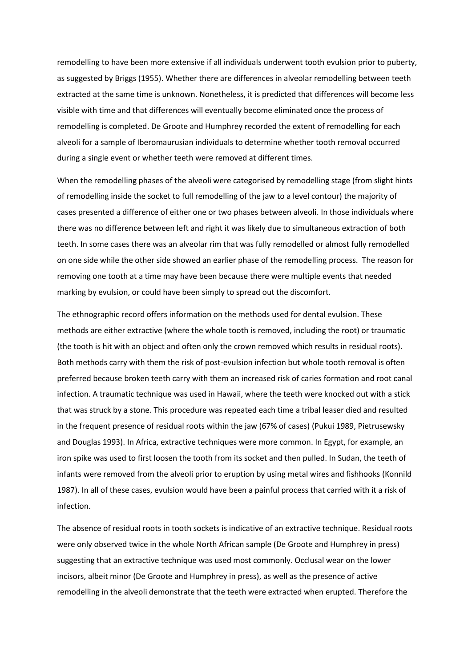remodelling to have been more extensive if all individuals underwent tooth evulsion prior to puberty, as suggested by Briggs (1955). Whether there are differences in alveolar remodelling between teeth extracted at the same time is unknown. Nonetheless, it is predicted that differences will become less visible with time and that differences will eventually become eliminated once the process of remodelling is completed. De Groote and Humphrey recorded the extent of remodelling for each alveoli for a sample of Iberomaurusian individuals to determine whether tooth removal occurred during a single event or whether teeth were removed at different times.

When the remodelling phases of the alveoli were categorised by remodelling stage (from slight hints of remodelling inside the socket to full remodelling of the jaw to a level contour) the majority of cases presented a difference of either one or two phases between alveoli. In those individuals where there was no difference between left and right it was likely due to simultaneous extraction of both teeth. In some cases there was an alveolar rim that was fully remodelled or almost fully remodelled on one side while the other side showed an earlier phase of the remodelling process. The reason for removing one tooth at a time may have been because there were multiple events that needed marking by evulsion, or could have been simply to spread out the discomfort.

The ethnographic record offers information on the methods used for dental evulsion. These methods are either extractive (where the whole tooth is removed, including the root) or traumatic (the tooth is hit with an object and often only the crown removed which results in residual roots). Both methods carry with them the risk of post-evulsion infection but whole tooth removal is often preferred because broken teeth carry with them an increased risk of caries formation and root canal infection. A traumatic technique was used in Hawaii, where the teeth were knocked out with a stick that was struck by a stone. This procedure was repeated each time a tribal leaser died and resulted in the frequent presence of residual roots within the jaw (67% of cases) (Pukui 1989, Pietrusewsky and Douglas 1993). In Africa, extractive techniques were more common. In Egypt, for example, an iron spike was used to first loosen the tooth from its socket and then pulled. In Sudan, the teeth of infants were removed from the alveoli prior to eruption by using metal wires and fishhooks (Konnild 1987). In all of these cases, evulsion would have been a painful process that carried with it a risk of infection.

The absence of residual roots in tooth sockets is indicative of an extractive technique. Residual roots were only observed twice in the whole North African sample (De Groote and Humphrey in press) suggesting that an extractive technique was used most commonly. Occlusal wear on the lower incisors, albeit minor (De Groote and Humphrey in press), as well as the presence of active remodelling in the alveoli demonstrate that the teeth were extracted when erupted. Therefore the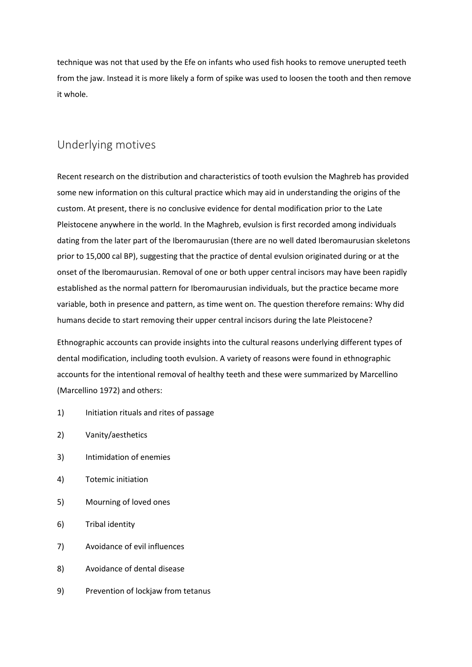technique was not that used by the Efe on infants who used fish hooks to remove unerupted teeth from the jaw. Instead it is more likely a form of spike was used to loosen the tooth and then remove it whole.

# Underlying motives

Recent research on the distribution and characteristics of tooth evulsion the Maghreb has provided some new information on this cultural practice which may aid in understanding the origins of the custom. At present, there is no conclusive evidence for dental modification prior to the Late Pleistocene anywhere in the world. In the Maghreb, evulsion is first recorded among individuals dating from the later part of the Iberomaurusian (there are no well dated Iberomaurusian skeletons prior to 15,000 cal BP), suggesting that the practice of dental evulsion originated during or at the onset of the Iberomaurusian. Removal of one or both upper central incisors may have been rapidly established as the normal pattern for Iberomaurusian individuals, but the practice became more variable, both in presence and pattern, as time went on. The question therefore remains: Why did humans decide to start removing their upper central incisors during the late Pleistocene?

Ethnographic accounts can provide insights into the cultural reasons underlying different types of dental modification, including tooth evulsion. A variety of reasons were found in ethnographic accounts for the intentional removal of healthy teeth and these were summarized by Marcellino (Marcellino 1972) and others:

- 1) Initiation rituals and rites of passage
- 2) Vanity/aesthetics
- 3) Intimidation of enemies
- 4) Totemic initiation
- 5) Mourning of loved ones
- 6) Tribal identity
- 7) Avoidance of evil influences
- 8) Avoidance of dental disease
- 9) Prevention of lockjaw from tetanus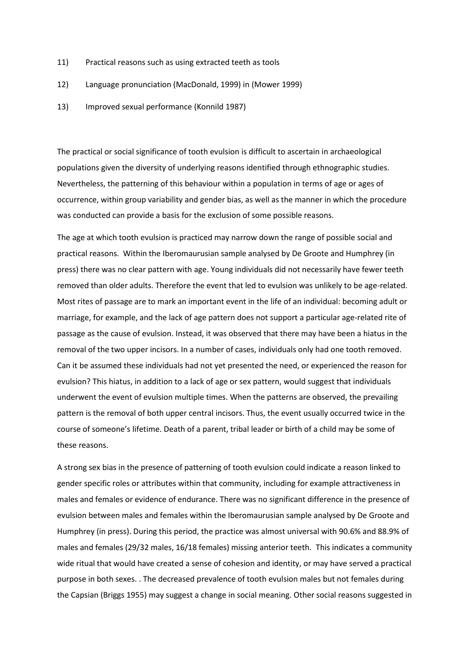- 11) Practical reasons such as using extracted teeth as tools
- 12) Language pronunciation (MacDonald, 1999) in (Mower 1999)
- 13) Improved sexual performance (Konnild 1987)

The practical or social significance of tooth evulsion is difficult to ascertain in archaeological populations given the diversity of underlying reasons identified through ethnographic studies. Nevertheless, the patterning of this behaviour within a population in terms of age or ages of occurrence, within group variability and gender bias, as well as the manner in which the procedure was conducted can provide a basis for the exclusion of some possible reasons.

The age at which tooth evulsion is practiced may narrow down the range of possible social and practical reasons. Within the Iberomaurusian sample analysed by De Groote and Humphrey (in press) there was no clear pattern with age. Young individuals did not necessarily have fewer teeth removed than older adults. Therefore the event that led to evulsion was unlikely to be age-related. Most rites of passage are to mark an important event in the life of an individual: becoming adult or marriage, for example, and the lack of age pattern does not support a particular age-related rite of passage as the cause of evulsion. Instead, it was observed that there may have been a hiatus in the removal of the two upper incisors. In a number of cases, individuals only had one tooth removed. Can it be assumed these individuals had not yet presented the need, or experienced the reason for evulsion? This hiatus, in addition to a lack of age or sex pattern, would suggest that individuals underwent the event of evulsion multiple times. When the patterns are observed, the prevailing pattern is the removal of both upper central incisors. Thus, the event usually occurred twice in the course of someone's lifetime. Death of a parent, tribal leader or birth of a child may be some of these reasons.

A strong sex bias in the presence of patterning of tooth evulsion could indicate a reason linked to gender specific roles or attributes within that community, including for example attractiveness in males and females or evidence of endurance. There was no significant difference in the presence of evulsion between males and females within the Iberomaurusian sample analysed by De Groote and Humphrey (in press). During this period, the practice was almost universal with 90.6% and 88.9% of males and females (29/32 males, 16/18 females) missing anterior teeth. This indicates a community wide ritual that would have created a sense of cohesion and identity, or may have served a practical purpose in both sexes. . The decreased prevalence of tooth evulsion males but not females during the Capsian (Briggs 1955) may suggest a change in social meaning. Other social reasons suggested in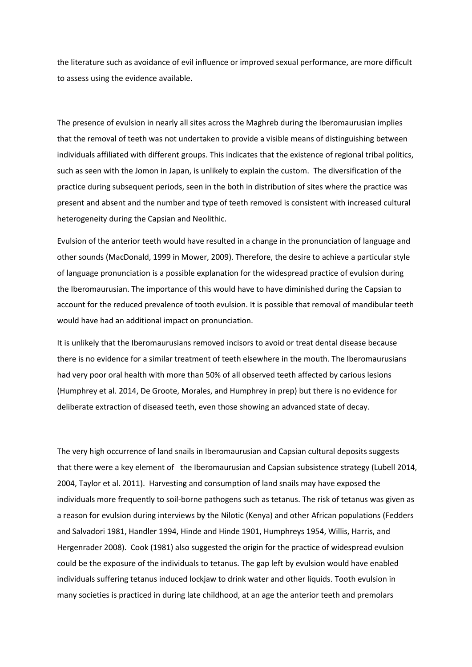the literature such as avoidance of evil influence or improved sexual performance, are more difficult to assess using the evidence available.

The presence of evulsion in nearly all sites across the Maghreb during the Iberomaurusian implies that the removal of teeth was not undertaken to provide a visible means of distinguishing between individuals affiliated with different groups. This indicates that the existence of regional tribal politics, such as seen with the Jomon in Japan, is unlikely to explain the custom. The diversification of the practice during subsequent periods, seen in the both in distribution of sites where the practice was present and absent and the number and type of teeth removed is consistent with increased cultural heterogeneity during the Capsian and Neolithic.

Evulsion of the anterior teeth would have resulted in a change in the pronunciation of language and other sounds (MacDonald, 1999 in Mower, 2009). Therefore, the desire to achieve a particular style of language pronunciation is a possible explanation for the widespread practice of evulsion during the Iberomaurusian. The importance of this would have to have diminished during the Capsian to account for the reduced prevalence of tooth evulsion. It is possible that removal of mandibular teeth would have had an additional impact on pronunciation.

It is unlikely that the Iberomaurusians removed incisors to avoid or treat dental disease because there is no evidence for a similar treatment of teeth elsewhere in the mouth. The Iberomaurusians had very poor oral health with more than 50% of all observed teeth affected by carious lesions (Humphrey et al. 2014, De Groote, Morales, and Humphrey in prep) but there is no evidence for deliberate extraction of diseased teeth, even those showing an advanced state of decay.

The very high occurrence of land snails in Iberomaurusian and Capsian cultural deposits suggests that there were a key element of the Iberomaurusian and Capsian subsistence strategy (Lubell 2014, 2004, Taylor et al. 2011). Harvesting and consumption of land snails may have exposed the individuals more frequently to soil-borne pathogens such as tetanus. The risk of tetanus was given as a reason for evulsion during interviews by the Nilotic (Kenya) and other African populations (Fedders and Salvadori 1981, Handler 1994, Hinde and Hinde 1901, Humphreys 1954, Willis, Harris, and Hergenrader 2008). Cook (1981) also suggested the origin for the practice of widespread evulsion could be the exposure of the individuals to tetanus. The gap left by evulsion would have enabled individuals suffering tetanus induced lockjaw to drink water and other liquids. Tooth evulsion in many societies is practiced in during late childhood, at an age the anterior teeth and premolars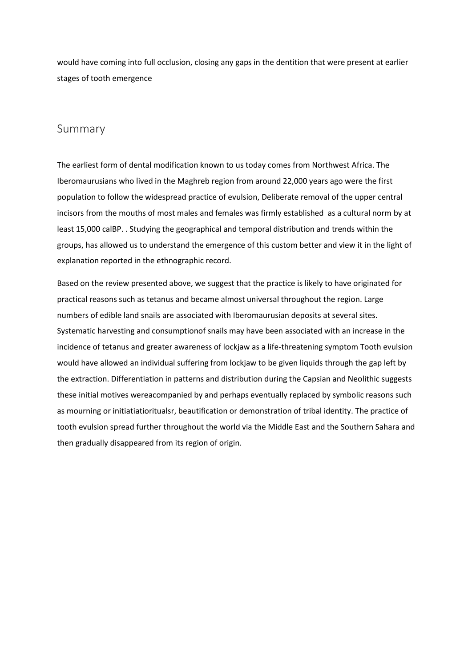would have coming into full occlusion, closing any gaps in the dentition that were present at earlier stages of tooth emergence

## Summary

The earliest form of dental modification known to us today comes from Northwest Africa. The Iberomaurusians who lived in the Maghreb region from around 22,000 years ago were the first population to follow the widespread practice of evulsion, Deliberate removal of the upper central incisors from the mouths of most males and females was firmly established as a cultural norm by at least 15,000 calBP. . Studying the geographical and temporal distribution and trends within the groups, has allowed us to understand the emergence of this custom better and view it in the light of explanation reported in the ethnographic record.

Based on the review presented above, we suggest that the practice is likely to have originated for practical reasons such as tetanus and became almost universal throughout the region. Large numbers of edible land snails are associated with Iberomaurusian deposits at several sites. Systematic harvesting and consumptionof snails may have been associated with an increase in the incidence of tetanus and greater awareness of lockjaw as a life-threatening symptom Tooth evulsion would have allowed an individual suffering from lockjaw to be given liquids through the gap left by the extraction. Differentiation in patterns and distribution during the Capsian and Neolithic suggests these initial motives wereacompanied by and perhaps eventually replaced by symbolic reasons such as mourning or initiatiatioritualsr, beautification or demonstration of tribal identity. The practice of tooth evulsion spread further throughout the world via the Middle East and the Southern Sahara and then gradually disappeared from its region of origin.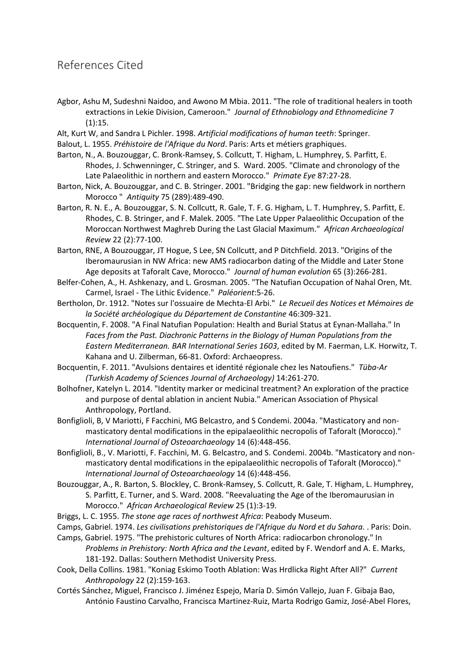# References Cited

- Agbor, Ashu M, Sudeshni Naidoo, and Awono M Mbia. 2011. "The role of traditional healers in tooth extractions in Lekie Division, Cameroon." *Journal of Ethnobiology and Ethnomedicine* 7 (1):15.
- Alt, Kurt W, and Sandra L Pichler. 1998. *Artificial modifications of human teeth*: Springer.
- Balout, L. 1955. *Préhistoire de l'Afrique du Nord*. Paris: Arts et métiers graphiques.
- Barton, N., A. Bouzouggar, C. Bronk-Ramsey, S. Collcutt, T. Higham, L. Humphrey, S. Parfitt, E. Rhodes, J. Schwenninger, C. Stringer, and S. Ward. 2005. "Climate and chronology of the Late Palaeolithic in northern and eastern Morocco." *Primate Eye* 87:27-28.
- Barton, Nick, A. Bouzouggar, and C. B. Stringer. 2001. "Bridging the gap: new fieldwork in northern Morocco " *Antiquity* 75 (289):489-490.
- Barton, R. N. E., A. Bouzouggar, S. N. Collcutt, R. Gale, T. F. G. Higham, L. T. Humphrey, S. Parfitt, E. Rhodes, C. B. Stringer, and F. Malek. 2005. "The Late Upper Palaeolithic Occupation of the Moroccan Northwest Maghreb During the Last Glacial Maximum." *African Archaeological Review* 22 (2):77-100.
- Barton, RNE, A Bouzouggar, JT Hogue, S Lee, SN Collcutt, and P Ditchfield. 2013. "Origins of the Iberomaurusian in NW Africa: new AMS radiocarbon dating of the Middle and Later Stone Age deposits at Taforalt Cave, Morocco." *Journal of human evolution* 65 (3):266-281.
- Belfer-Cohen, A., H. Ashkenazy, and L. Grosman. 2005. "The Natufian Occupation of Nahal Oren, Mt. Carmel, Israel - The Lithic Evidence." *Paléorient*:5-26.
- Bertholon, Dr. 1912. "Notes sur l'ossuaire de Mechta-El Arbi." *Le Recueil des Notices et Mémoires de la Société archéologique du Département de Constantine* 46:309-321.
- Bocquentin, F. 2008. "A Final Natufian Population: Health and Burial Status at Eynan-Mallaha." In *Faces from the Past. Diachronic Patterns in the Biology of Human Populations from the Eastern Mediterranean. BAR International Series 1603*, edited by M. Faerman, L.K. Horwitz, T. Kahana and U. Zilberman, 66-81. Oxford: Archaeopress.
- Bocquentin, F. 2011. "Avulsions dentaires et identité régionale chez les Natoufiens." *Tüba-Ar (Turkish Academy of Sciences Journal of Archaeology)* 14:261-270.
- Bolhofner, Katelyn L. 2014. "Identity marker or medicinal treatment? An exploration of the practice and purpose of dental ablation in ancient Nubia." American Association of Physical Anthropology, Portland.
- Bonfiglioli, B, V Mariotti, F Facchini, MG Belcastro, and S Condemi. 2004a. "Masticatory and non‐ masticatory dental modifications in the epipalaeolithic necropolis of Taforalt (Morocco)." *International Journal of Osteoarchaeology* 14 (6):448-456.
- Bonfiglioli, B., V. Mariotti, F. Facchini, M. G. Belcastro, and S. Condemi. 2004b. "Masticatory and nonmasticatory dental modifications in the epipalaeolithic necropolis of Taforalt (Morocco)." *International Journal of Osteoarchaeology* 14 (6):448-456.
- Bouzouggar, A., R. Barton, S. Blockley, C. Bronk-Ramsey, S. Collcutt, R. Gale, T. Higham, L. Humphrey, S. Parfitt, E. Turner, and S. Ward. 2008. "Reevaluating the Age of the Iberomaurusian in Morocco." *African Archaeological Review* 25 (1):3-19.
- Briggs, L. C. 1955. *The stone age races of northwest Africa*: Peabody Museum.
- Camps, Gabriel. 1974. *Les civilisations prehistoriques de l'Afrique du Nord et du Sahara.* . Paris: Doin.
- Camps, Gabriel. 1975. "The prehistoric cultures of North Africa: radiocarbon chronology." In *Problems in Prehistory: North Africa and the Levant*, edited by F. Wendorf and A. E. Marks, 181-192. Dallas: Southern Methodist University Press.
- Cook, Della Collins. 1981. "Koniag Eskimo Tooth Ablation: Was Hrdlicka Right After All?" *Current Anthropology* 22 (2):159-163.
- Cortés Sánchez, Miguel, Francisco J. Jiménez Espejo, María D. Simón Vallejo, Juan F. Gibaja Bao, António Faustino Carvalho, Francisca Martinez-Ruiz, Marta Rodrigo Gamiz, José-Abel Flores,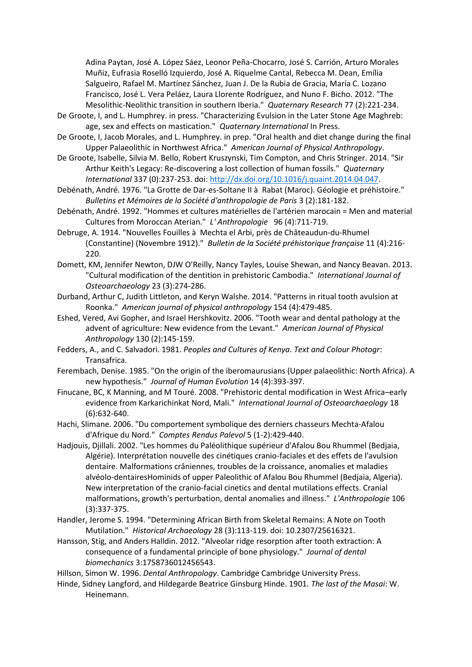Adina Paytan, José A. López Sáez, Leonor Peña-Chocarro, José S. Carrión, Arturo Morales Muñiz, Eufrasia Roselló Izquierdo, José A. Riquelme Cantal, Rebecca M. Dean, Emília Salgueiro, Rafael M. Martínez Sánchez, Juan J. De la Rubia de Gracia, María C. Lozano Francisco, José L. Vera Peláez, Laura Llorente Rodríguez, and Nuno F. Bicho. 2012. "The Mesolithic-Neolithic transition in southern Iberia." *Quaternary Research* 77 (2):221-234.

- De Groote, I, and L. Humphrey. in press. "Characterizing Evulsion in the Later Stone Age Maghreb: age, sex and effects on mastication." *Quaternary International* In Press.
- De Groote, I, Jacob Morales, and L. Humphrey. in prep. "Oral health and diet change during the final Upper Palaeolithic in Northwest Africa." *American Journal of Physical Anthropology*.
- De Groote, Isabelle, Silvia M. Bello, Robert Kruszynski, Tim Compton, and Chris Stringer. 2014. "Sir Arthur Keith's Legacy: Re-discovering a lost collection of human fossils." *Quaternary International* 337 (0):237-253. doi[: http://dx.doi.org/10.1016/j.quaint.2014.04.047.](http://dx.doi.org/10.1016/j.quaint.2014.04.047)
- Debénath, André. 1976. "La Grotte de Dar-es-Soltane II à Rabat (Maroc). Géologie et préhistoire." *Bulletins et Mémoires de la Société d'anthropologie de Paris* 3 (2):181-182.
- Debénath, André. 1992. "Hommes et cultures matérielles de l'artérien marocain = Men and material Cultures from Moroccan Aterian." *L' Anthropologie* 96 (4):711-719.
- Debruge, A. 1914. "Nouvelles Fouilles à Mechta el Arbi, près de Châteaudun-du-Rhumel (Constantine) (Novembre 1912)." *Bulletin de la Société préhistorique française* 11 (4):216- 220.
- Domett, KM, Jennifer Newton, DJW O'Reilly, Nancy Tayles, Louise Shewan, and Nancy Beavan. 2013. "Cultural modification of the dentition in prehistoric Cambodia." *International Journal of Osteoarchaeology* 23 (3):274-286.
- Durband, Arthur C, Judith Littleton, and Keryn Walshe. 2014. "Patterns in ritual tooth avulsion at Roonka." *American journal of physical anthropology* 154 (4):479-485.
- Eshed, Vered, Avi Gopher, and Israel Hershkovitz. 2006. "Tooth wear and dental pathology at the advent of agriculture: New evidence from the Levant." *American Journal of Physical Anthropology* 130 (2):145-159.
- Fedders, A., and C. Salvadori. 1981. *Peoples and Cultures of Kenya. Text and Colour Photogr*: Transafrica.
- Ferembach, Denise. 1985. "On the origin of the iberomaurusians (Upper palaeolithic: North Africa). A new hypothesis." *Journal of Human Evolution* 14 (4):393-397.
- Finucane, BC, K Manning, and M Touré. 2008. "Prehistoric dental modification in West Africa–early evidence from Karkarichinkat Nord, Mali." *International Journal of Osteoarchaeology* 18 (6):632-640.
- Hachi, Slimane. 2006. "Du comportement symbolique des derniers chasseurs Mechta-Afalou d'Afrique du Nord." *Comptes Rendus Palevol* 5 (1-2):429-440.
- Hadjouis, Djillali. 2002. "Les hommes du Paléolithique supérieur d'Afalou Bou Rhummel (Bedjaia, Algérie). Interprétation nouvelle des cinétiques cranio-faciales et des effets de l'avulsion dentaire. Malformations crâniennes, troubles de la croissance, anomalies et maladies alvéolo-dentairesHominids of upper Paleolithic of Afalou Bou Rhummel (Bedjaia, Algeria). New interpretation of the cranio-facial cinetics and dental mutilations effects. Cranial malformations, growth's perturbation, dental anomalies and illness." *L'Anthropologie* 106 (3):337-375.
- Handler, Jerome S. 1994. "Determining African Birth from Skeletal Remains: A Note on Tooth Mutilation." *Historical Archaeology* 28 (3):113-119. doi: 10.2307/25616321.
- Hansson, Stig, and Anders Halldin. 2012. "Alveolar ridge resorption after tooth extraction: A consequence of a fundamental principle of bone physiology." *Journal of dental biomechanics* 3:1758736012456543.
- Hillson, Simon W. 1996. *Dental Anthropology*. Cambridge Cambridge University Press.
- Hinde, Sidney Langford, and Hildegarde Beatrice Ginsburg Hinde. 1901. *The last of the Masai*: W. Heinemann.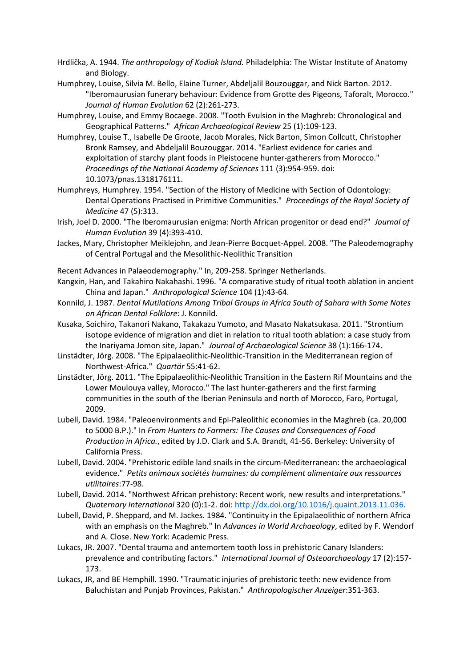- Hrdlička, A. 1944. *The anthropology of Kodiak Island.* Philadelphia: The Wistar Institute of Anatomy and Biology.
- Humphrey, Louise, Silvia M. Bello, Elaine Turner, Abdeljalil Bouzouggar, and Nick Barton. 2012. "Iberomaurusian funerary behaviour: Evidence from Grotte des Pigeons, Taforalt, Morocco." *Journal of Human Evolution* 62 (2):261-273.
- Humphrey, Louise, and Emmy Bocaege. 2008. "Tooth Evulsion in the Maghreb: Chronological and Geographical Patterns." *African Archaeological Review* 25 (1):109-123.
- Humphrey, Louise T., Isabelle De Groote, Jacob Morales, Nick Barton, Simon Collcutt, Christopher Bronk Ramsey, and Abdeljalil Bouzouggar. 2014. "Earliest evidence for caries and exploitation of starchy plant foods in Pleistocene hunter-gatherers from Morocco." *Proceedings of the National Academy of Sciences* 111 (3):954-959. doi: 10.1073/pnas.1318176111.
- Humphreys, Humphrey. 1954. "Section of the History of Medicine with Section of Odontology: Dental Operations Practised in Primitive Communities." *Proceedings of the Royal Society of Medicine* 47 (5):313.
- Irish, Joel D. 2000. "The Iberomaurusian enigma: North African progenitor or dead end?" *Journal of Human Evolution* 39 (4):393-410.
- Jackes, Mary, Christopher Meiklejohn, and Jean-Pierre Bocquet-Appel. 2008. "The Paleodemography of Central Portugal and the Mesolithic-Neolithic Transition
- Recent Advances in Palaeodemography." In, 209-258. Springer Netherlands.
- Kangxin, Han, and Takahiro Nakahashi. 1996. "A comparative study of ritual tooth ablation in ancient China and Japan." *Anthropological Science* 104 (1):43-64.
- Konnild, J. 1987. *Dental Mutilations Among Tribal Groups in Africa South of Sahara with Some Notes on African Dental Folklore*: J. Konnild.
- Kusaka, Soichiro, Takanori Nakano, Takakazu Yumoto, and Masato Nakatsukasa. 2011. "Strontium isotope evidence of migration and diet in relation to ritual tooth ablation: a case study from the Inariyama Jomon site, Japan." *Journal of Archaeological Science* 38 (1):166-174.
- Linstädter, Jörg. 2008. "The Epipalaeolithic-Neolithic-Transition in the Mediterranean region of Northwest-Africa." *Quartär* 55:41-62.
- Linstädter, Jörg. 2011. "The Epipalaeolithic-Neolithic Transition in the Eastern Rif Mountains and the Lower Moulouya valley, Morocco." The last hunter-gatherers and the first farming communities in the south of the Iberian Peninsula and north of Morocco, Faro, Portugal, 2009.
- Lubell, David. 1984. "Paleoenvironments and Epi-Paleolithic economies in the Maghreb (ca. 20,000 to 5000 B.P.)." In *From Hunters to Farmers: The Causes and Consequences of Food Production in Africa.*, edited by J.D. Clark and S.A. Brandt, 41-56. Berkeley: University of California Press.
- Lubell, David. 2004. "Prehistoric edible land snails in the circum-Mediterranean: the archaeological evidence." *Petits animaux sociétés humaines: du complément alimentaire aux ressources utilitaires*:77-98.
- Lubell, David. 2014. "Northwest African prehistory: Recent work, new results and interpretations." *Quaternary International* 320 (0):1-2. doi: [http://dx.doi.org/10.1016/j.quaint.2013.11.036.](http://dx.doi.org/10.1016/j.quaint.2013.11.036)
- Lubell, David, P. Sheppard, and M. Jackes. 1984. "Continuity in the Epipalaeolithic of northern Africa with an emphasis on the Maghreb." In *Advances in World Archaeology*, edited by F. Wendorf and A. Close. New York: Academic Press.
- Lukacs, JR. 2007. "Dental trauma and antemortem tooth loss in prehistoric Canary Islanders: prevalence and contributing factors." *International Journal of Osteoarchaeology* 17 (2):157- 173.
- Lukacs, JR, and BE Hemphill. 1990. "Traumatic injuries of prehistoric teeth: new evidence from Baluchistan and Punjab Provinces, Pakistan." *Anthropologischer Anzeiger*:351-363.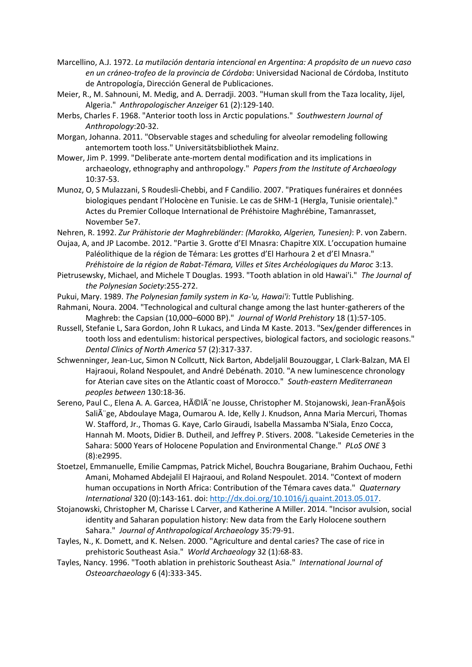- Marcellino, A.J. 1972. *La mutilación dentaria intencional en Argentina: A propósito de un nuevo caso en un cráneo-trofeo de la provincia de Córdoba*: Universidad Nacional de Córdoba, Instituto de Antropología, Dirección General de Publicaciones.
- Meier, R., M. Sahnouni, M. Medig, and A. Derradji. 2003. "Human skull from the Taza locality, Jijel, Algeria." *Anthropologischer Anzeiger* 61 (2):129-140.
- Merbs, Charles F. 1968. "Anterior tooth loss in Arctic populations." *Southwestern Journal of Anthropology*:20-32.
- Morgan, Johanna. 2011. "Observable stages and scheduling for alveolar remodeling following antemortem tooth loss." Universitätsbibliothek Mainz.
- Mower, Jim P. 1999. "Deliberate ante-mortem dental modification and its implications in archaeology, ethnography and anthropology." *Papers from the Institute of Archaeology* 10:37-53.
- Munoz, O, S Mulazzani, S Roudesli-Chebbi, and F Candilio. 2007. "Pratiques funéraires et données biologiques pendant l'Holocène en Tunisie. Le cas de SHM-1 (Hergla, Tunisie orientale)." Actes du Premier Colloque International de Préhistoire Maghrébine, Tamanrasset, November 5e7.
- Nehren, R. 1992. *Zur Prähistorie der Maghrebländer: (Marokko, Algerien, Tunesien)*: P. von Zabern.
- Oujaa, A, and JP Lacombe. 2012. "Partie 3. Grotte d'El Mnasra: Chapitre XIX. L'occupation humaine Paléolithique de la région de Témara: Les grottes d'El Harhoura 2 et d'El Mnasra." *Préhistoire de la région de Rabat-Témara, Villes et Sites Archéologiques du Maroc* 3:13.
- Pietrusewsky, Michael, and Michele T Douglas. 1993. "Tooth ablation in old Hawai'i." *The Journal of the Polynesian Society*:255-272.
- Pukui, Mary. 1989. *The Polynesian family system in Ka-'u, Hawai'i*: Tuttle Publishing.
- Rahmani, Noura. 2004. "Technological and cultural change among the last hunter-gatherers of the Maghreb: the Capsian (10,000–6000 BP)." *Journal of World Prehistory* 18 (1):57-105.
- Russell, Stefanie L, Sara Gordon, John R Lukacs, and Linda M Kaste. 2013. "Sex/gender differences in tooth loss and edentulism: historical perspectives, biological factors, and sociologic reasons." *Dental Clinics of North America* 57 (2):317-337.
- Schwenninger, Jean-Luc, Simon N Collcutt, Nick Barton, Abdeljalil Bouzouggar, L Clark-Balzan, MA El Hajraoui, Roland Nespoulet, and André Debénath. 2010. "A new luminescence chronology for Aterian cave sites on the Atlantic coast of Morocco." *South-eastern Mediterranean peoples between* 130:18-36.
- Sereno, Paul C., Elena A. A. Garcea, HéIà ne Jousse, Christopher M. Stojanowski, Jean-François Salià ge, Abdoulaye Maga, Oumarou A. Ide, Kelly J. Knudson, Anna Maria Mercuri, Thomas W. Stafford, Jr., Thomas G. Kaye, Carlo Giraudi, Isabella Massamba N'Siala, Enzo Cocca, Hannah M. Moots, Didier B. Dutheil, and Jeffrey P. Stivers. 2008. "Lakeside Cemeteries in the Sahara: 5000 Years of Holocene Population and Environmental Change." *PLoS ONE* 3 (8):e2995.
- Stoetzel, Emmanuelle, Emilie Campmas, Patrick Michel, Bouchra Bougariane, Brahim Ouchaou, Fethi Amani, Mohamed Abdejalil El Hajraoui, and Roland Nespoulet. 2014. "Context of modern human occupations in North Africa: Contribution of the Témara caves data." *Quaternary International* 320 (0):143-161. doi[: http://dx.doi.org/10.1016/j.quaint.2013.05.017.](http://dx.doi.org/10.1016/j.quaint.2013.05.017)
- Stojanowski, Christopher M, Charisse L Carver, and Katherine A Miller. 2014. "Incisor avulsion, social identity and Saharan population history: New data from the Early Holocene southern Sahara." *Journal of Anthropological Archaeology* 35:79-91.
- Tayles, N., K. Domett, and K. Nelsen. 2000. "Agriculture and dental caries? The case of rice in prehistoric Southeast Asia." *World Archaeology* 32 (1):68-83.
- Tayles, Nancy. 1996. "Tooth ablation in prehistoric Southeast Asia." *International Journal of Osteoarchaeology* 6 (4):333-345.